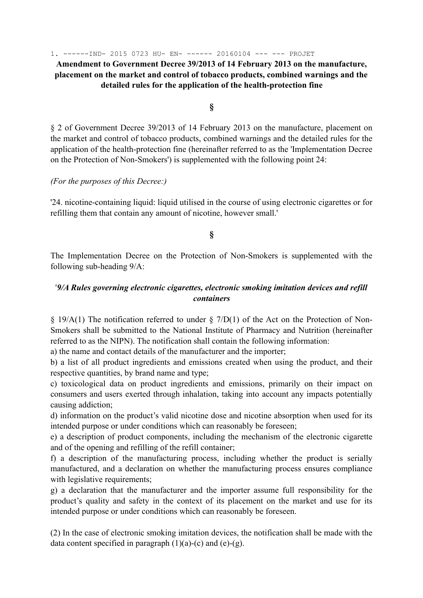1. ------IND- 2015 0723 HU- EN- ------ 20160104 --- --- PROJET

**Amendment to Government Decree 39/2013 of 14 February 2013 on the manufacture, placement on the market and control of tobacco products, combined warnings and the detailed rules for the application of the health-protection fine** 

**§** 

§ 2 of Government Decree 39/2013 of 14 February 2013 on the manufacture, placement on the market and control of tobacco products, combined warnings and the detailed rules for the application of the health-protection fine (hereinafter referred to as the 'Implementation Decree on the Protection of Non-Smokers') is supplemented with the following point 24:

## *(For the purposes of this Decree:)*

'24. nicotine-containing liquid: liquid utilised in the course of using electronic cigarettes or for refilling them that contain any amount of nicotine, however small.'

**§** 

The Implementation Decree on the Protection of Non-Smokers is supplemented with the following sub-heading 9/A:

## '*9/A Rules governing electronic cigarettes, electronic smoking imitation devices and refill containers*

§ 19/A(1) The notification referred to under § 7/D(1) of the Act on the Protection of Non-Smokers shall be submitted to the National Institute of Pharmacy and Nutrition (hereinafter referred to as the NIPN). The notification shall contain the following information:

a) the name and contact details of the manufacturer and the importer;

b) a list of all product ingredients and emissions created when using the product, and their respective quantities, by brand name and type;

c) toxicological data on product ingredients and emissions, primarily on their impact on consumers and users exerted through inhalation, taking into account any impacts potentially causing addiction;

d) information on the product's valid nicotine dose and nicotine absorption when used for its intended purpose or under conditions which can reasonably be foreseen;

e) a description of product components, including the mechanism of the electronic cigarette and of the opening and refilling of the refill container;

f) a description of the manufacturing process, including whether the product is serially manufactured, and a declaration on whether the manufacturing process ensures compliance with legislative requirements;

g) a declaration that the manufacturer and the importer assume full responsibility for the product's quality and safety in the context of its placement on the market and use for its intended purpose or under conditions which can reasonably be foreseen.

(2) In the case of electronic smoking imitation devices, the notification shall be made with the data content specified in paragraph  $(1)(a)-(c)$  and  $(e)-(g)$ .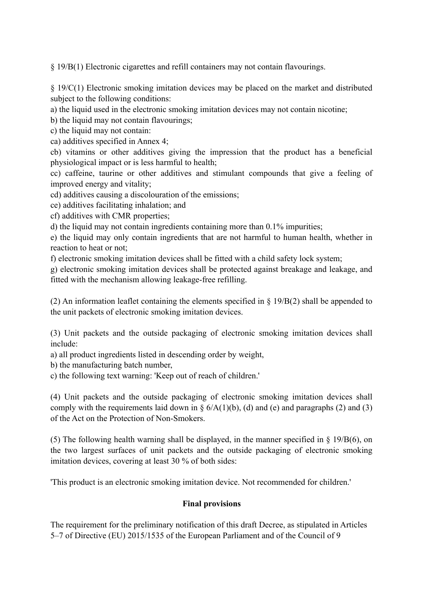§ 19/B(1) Electronic cigarettes and refill containers may not contain flavourings.

§ 19/C(1) Electronic smoking imitation devices may be placed on the market and distributed subject to the following conditions:

a) the liquid used in the electronic smoking imitation devices may not contain nicotine;

b) the liquid may not contain flavourings;

c) the liquid may not contain:

ca) additives specified in Annex 4;

cb) vitamins or other additives giving the impression that the product has a beneficial physiological impact or is less harmful to health;

cc) caffeine, taurine or other additives and stimulant compounds that give a feeling of improved energy and vitality;

cd) additives causing a discolouration of the emissions;

ce) additives facilitating inhalation; and

cf) additives with CMR properties;

d) the liquid may not contain ingredients containing more than 0.1% impurities;

e) the liquid may only contain ingredients that are not harmful to human health, whether in reaction to heat or not;

f) electronic smoking imitation devices shall be fitted with a child safety lock system;

g) electronic smoking imitation devices shall be protected against breakage and leakage, and fitted with the mechanism allowing leakage-free refilling.

(2) An information leaflet containing the elements specified in § 19/B(2) shall be appended to the unit packets of electronic smoking imitation devices.

(3) Unit packets and the outside packaging of electronic smoking imitation devices shall include:

a) all product ingredients listed in descending order by weight,

b) the manufacturing batch number,

c) the following text warning: 'Keep out of reach of children.'

(4) Unit packets and the outside packaging of electronic smoking imitation devices shall comply with the requirements laid down in  $\S$  6/A(1)(b), (d) and (e) and paragraphs (2) and (3) of the Act on the Protection of Non-Smokers.

(5) The following health warning shall be displayed, in the manner specified in  $\S$  19/B(6), on the two largest surfaces of unit packets and the outside packaging of electronic smoking imitation devices, covering at least 30 % of both sides:

'This product is an electronic smoking imitation device. Not recommended for children.'

## **Final provisions**

The requirement for the preliminary notification of this draft Decree, as stipulated in Articles 5–7 of Directive (EU) 2015/1535 of the European Parliament and of the Council of 9